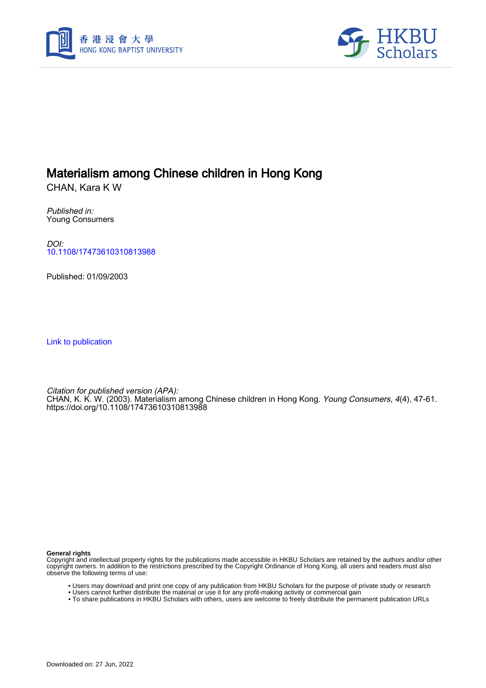



## Materialism among Chinese children in Hong Kong

CHAN, Kara K W

Published in: Young Consumers

DOI: [10.1108/17473610310813988](https://doi.org/10.1108/17473610310813988)

Published: 01/09/2003

[Link to publication](https://scholars.hkbu.edu.hk/en/publications/33214ffd-23aa-42a9-a653-66ff7a1eb8b7)

Citation for published version (APA): CHAN, K. K. W. (2003). Materialism among Chinese children in Hong Kong. *Young Consumers, 4*(4), 47-61. <https://doi.org/10.1108/17473610310813988>

**General rights**

Copyright and intellectual property rights for the publications made accessible in HKBU Scholars are retained by the authors and/or other copyright owners. In addition to the restrictions prescribed by the Copyright Ordinance of Hong Kong, all users and readers must also observe the following terms of use:

- Users may download and print one copy of any publication from HKBU Scholars for the purpose of private study or research
- Users cannot further distribute the material or use it for any profit-making activity or commercial gain
- To share publications in HKBU Scholars with others, users are welcome to freely distribute the permanent publication URLs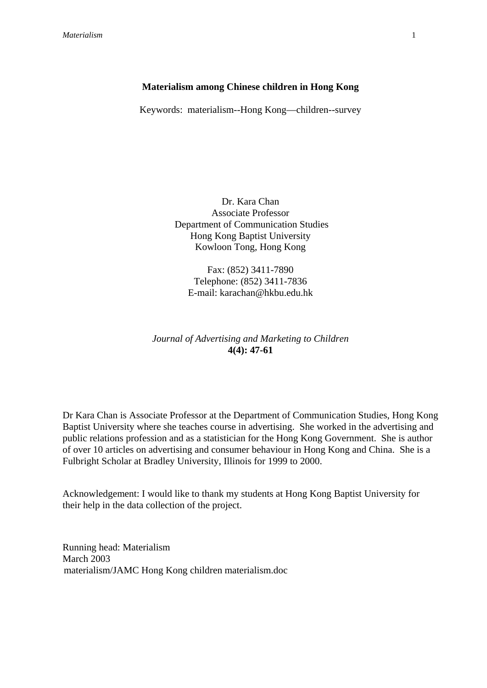## **Materialism among Chinese children in Hong Kong**

Keywords: materialism--Hong Kong—children--survey

Dr. Kara Chan Associate Professor Department of Communication Studies Hong Kong Baptist University Kowloon Tong, Hong Kong

Fax: (852) 3411-7890 Telephone: (852) 3411-7836 E-mail: karachan@hkbu.edu.hk

## *Journal of Advertising and Marketing to Children* **4(4): 47-61**

Dr Kara Chan is Associate Professor at the Department of Communication Studies, Hong Kong Baptist University where she teaches course in advertising. She worked in the advertising and public relations profession and as a statistician for the Hong Kong Government. She is author of over 10 articles on advertising and consumer behaviour in Hong Kong and China. She is a Fulbright Scholar at Bradley University, Illinois for 1999 to 2000.

Acknowledgement: I would like to thank my students at Hong Kong Baptist University for their help in the data collection of the project.

Running head: Materialism March 2003 materialism/JAMC Hong Kong children materialism.doc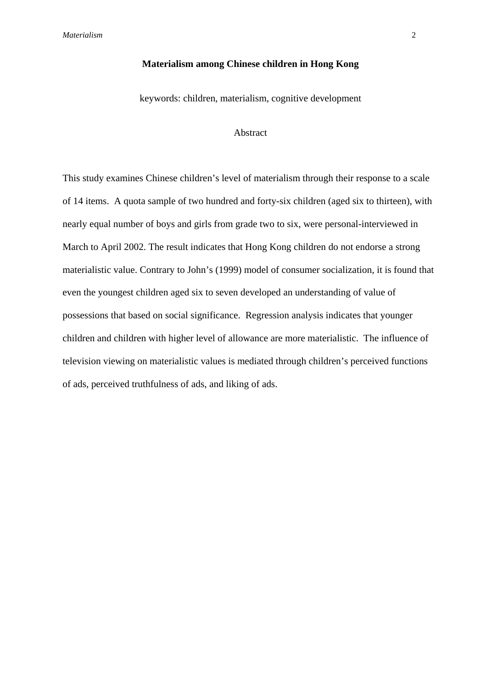### **Materialism among Chinese children in Hong Kong**

keywords: children, materialism, cognitive development

## Abstract

This study examines Chinese children's level of materialism through their response to a scale of 14 items. A quota sample of two hundred and forty-six children (aged six to thirteen), with nearly equal number of boys and girls from grade two to six, were personal-interviewed in March to April 2002. The result indicates that Hong Kong children do not endorse a strong materialistic value. Contrary to John's (1999) model of consumer socialization, it is found that even the youngest children aged six to seven developed an understanding of value of possessions that based on social significance. Regression analysis indicates that younger children and children with higher level of allowance are more materialistic. The influence of television viewing on materialistic values is mediated through children's perceived functions of ads, perceived truthfulness of ads, and liking of ads.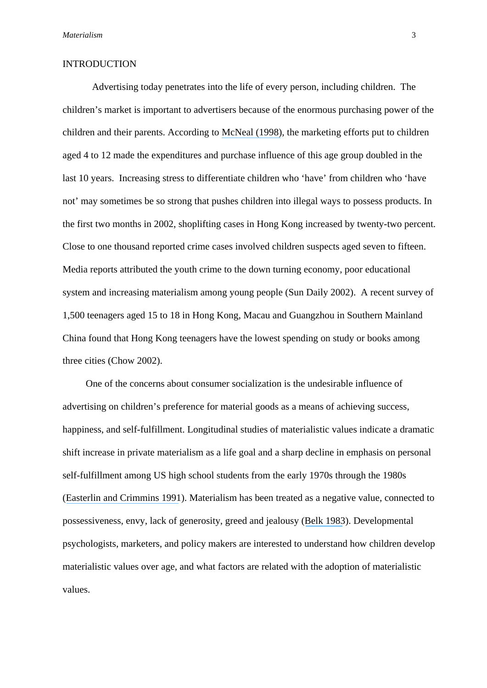#### INTRODUCTION

Advertising today penetrates into the life of every person, including children. The children's market is important to advertisers because of the enormous purchasing power of the children and their parents. According to [McNeal \(1998\)](https://www.researchgate.net/publication/247698621_Tapping_the_Three_Kids), the marketing efforts put to children aged 4 to 12 made the expenditures and purchase influence of this age group doubled in the last 10 years. Increasing stress to differentiate children who 'have' from children who 'have not' may sometimes be so strong that pushes children into illegal ways to possess products. In the first two months in 2002, shoplifting cases in Hong Kong increased by twenty-two percent. Close to one thousand reported crime cases involved children suspects aged seven to fifteen. Media reports attributed the youth crime to the down turning economy, poor educational system and increasing materialism among young people (Sun Daily 2002). A recent survey of 1,500 teenagers aged 15 to 18 in Hong Kong, Macau and Guangzhou in Southern Mainland China found that Hong Kong teenagers have the lowest spending on study or books among three cities (Chow 2002).

One of the concerns about consumer socialization is the undesirable influence of advertising on children's preference for material goods as a means of achieving success, happiness, and self-fulfillment. Longitudinal studies of materialistic values indicate a dramatic shift increase in private materialism as a life goal and a sharp decline in emphasis on personal self-fulfillment among US high school students from the early 1970s through the 1980s ([Easterlin and Crimmins 1991](https://www.researchgate.net/publication/31488267_Private_Materialism_Personal_Self-Fulfillment_Family_Life_and_Public_Interest_The_Nature_Effects_and_Causes_of_Recent_Changes_in_the_Values_of_American_Youth?el=1_x_8&enrichId=rgreq-709c401c6c7d860b50dd24505361bda9-XXX&enrichSource=Y292ZXJQYWdlOzIzNTMxNzg1MDtBUzo0NDIwMDU5NDQ4MzYwOTZAMTQ4MjM5MzgzNzE0Mw==)). Materialism has been treated as a negative value, connected to possessiveness, envy, lack of generosity, greed and jealousy ([Belk 1983](https://www.researchgate.net/publication/294688710_Worldly_possessions_Issues_and_criticisms?el=1_x_8&enrichId=rgreq-709c401c6c7d860b50dd24505361bda9-XXX&enrichSource=Y292ZXJQYWdlOzIzNTMxNzg1MDtBUzo0NDIwMDU5NDQ4MzYwOTZAMTQ4MjM5MzgzNzE0Mw==)). Developmental psychologists, marketers, and policy makers are interested to understand how children develop materialistic values over age, and what factors are related with the adoption of materialistic values.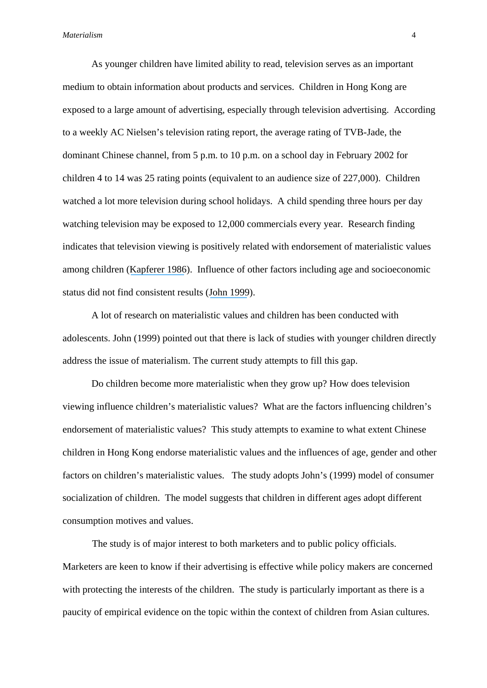As younger children have limited ability to read, television serves as an important medium to obtain information about products and services. Children in Hong Kong are exposed to a large amount of advertising, especially through television advertising. According to a weekly AC Nielsen's television rating report, the average rating of TVB-Jade, the dominant Chinese channel, from 5 p.m. to 10 p.m. on a school day in February 2002 for children 4 to 14 was 25 rating points (equivalent to an audience size of 227,000). Children watched a lot more television during school holidays. A child spending three hours per day watching television may be exposed to 12,000 commercials every year. Research finding indicates that television viewing is positively related with endorsement of materialistic values among children ([Kapferer 1986](https://www.researchgate.net/publication/281803524_A_comparison_of_TV_advertising_and_mothers)). Influence of other factors including age and socioeconomic status did not find consistent results ([John 1999](https://www.researchgate.net/publication/24099029_Consumer_Socialization_of_Children_A_Retrospective_Look_At_Twenty-Five_Years_of_Research?el=1_x_8&enrichId=rgreq-709c401c6c7d860b50dd24505361bda9-XXX&enrichSource=Y292ZXJQYWdlOzIzNTMxNzg1MDtBUzo0NDIwMDU5NDQ4MzYwOTZAMTQ4MjM5MzgzNzE0Mw==)).

A lot of research on materialistic values and children has been conducted with adolescents. John (1999) pointed out that there is lack of studies with younger children directly address the issue of materialism. The current study attempts to fill this gap.

Do children become more materialistic when they grow up? How does television viewing influence children's materialistic values? What are the factors influencing children's endorsement of materialistic values? This study attempts to examine to what extent Chinese children in Hong Kong endorse materialistic values and the influences of age, gender and other factors on children's materialistic values. The study adopts John's (1999) model of consumer socialization of children. The model suggests that children in different ages adopt different consumption motives and values.

The study is of major interest to both marketers and to public policy officials. Marketers are keen to know if their advertising is effective while policy makers are concerned with protecting the interests of the children. The study is particularly important as there is a paucity of empirical evidence on the topic within the context of children from Asian cultures.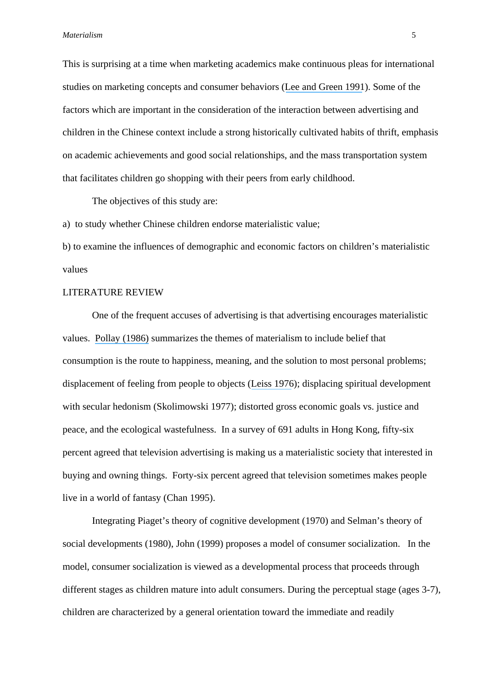This is surprising at a time when marketing academics make continuous pleas for international studies on marketing concepts and consumer behaviors ([Lee and Green 1991](https://www.researchgate.net/publication/5222552_Cross-Cultural_Examination_of_the_Fishbein_Behavioral_Intensions_Model?el=1_x_8&enrichId=rgreq-709c401c6c7d860b50dd24505361bda9-XXX&enrichSource=Y292ZXJQYWdlOzIzNTMxNzg1MDtBUzo0NDIwMDU5NDQ4MzYwOTZAMTQ4MjM5MzgzNzE0Mw==)). Some of the factors which are important in the consideration of the interaction between advertising and children in the Chinese context include a strong historically cultivated habits of thrift, emphasis on academic achievements and good social relationships, and the mass transportation system that facilitates children go shopping with their peers from early childhood.

The objectives of this study are:

a) to study whether Chinese children endorse materialistic value;

b) to examine the influences of demographic and economic factors on children's materialistic values

## LITERATURE REVIEW

 One of the frequent accuses of advertising is that advertising encourages materialistic values. [Pollay \(1986\)](https://www.researchgate.net/publication/233894821_The_Distorted_Mirror_Reflections_on_the_Unintended_Consequences_of_Advertising?el=1_x_8&enrichId=rgreq-709c401c6c7d860b50dd24505361bda9-XXX&enrichSource=Y292ZXJQYWdlOzIzNTMxNzg1MDtBUzo0NDIwMDU5NDQ4MzYwOTZAMTQ4MjM5MzgzNzE0Mw==) summarizes the themes of materialism to include belief that consumption is the route to happiness, meaning, and the solution to most personal problems; displacement of feeling from people to objects ([Leiss 1976](https://www.researchgate.net/publication/264157882_The_Limits_to_Satisfaction?el=1_x_8&enrichId=rgreq-709c401c6c7d860b50dd24505361bda9-XXX&enrichSource=Y292ZXJQYWdlOzIzNTMxNzg1MDtBUzo0NDIwMDU5NDQ4MzYwOTZAMTQ4MjM5MzgzNzE0Mw==)); displacing spiritual development with secular hedonism (Skolimowski 1977); distorted gross economic goals vs. justice and peace, and the ecological wastefulness. In a survey of 691 adults in Hong Kong, fifty-six percent agreed that television advertising is making us a materialistic society that interested in buying and owning things. Forty-six percent agreed that television sometimes makes people live in a world of fantasy (Chan 1995).

 Integrating Piaget's theory of cognitive development (1970) and Selman's theory of social developments (1980), John (1999) proposes a model of consumer socialization. In the model, consumer socialization is viewed as a developmental process that proceeds through different stages as children mature into adult consumers. During the perceptual stage (ages 3-7), children are characterized by a general orientation toward the immediate and readily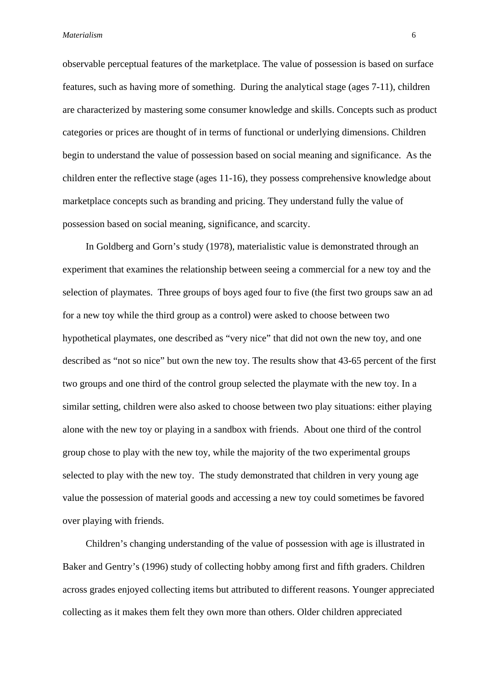observable perceptual features of the marketplace. The value of possession is based on surface features, such as having more of something. During the analytical stage (ages 7-11), children are characterized by mastering some consumer knowledge and skills. Concepts such as product categories or prices are thought of in terms of functional or underlying dimensions. Children begin to understand the value of possession based on social meaning and significance. As the children enter the reflective stage (ages 11-16), they possess comprehensive knowledge about marketplace concepts such as branding and pricing. They understand fully the value of possession based on social meaning, significance, and scarcity.

In Goldberg and Gorn's study (1978), materialistic value is demonstrated through an experiment that examines the relationship between seeing a commercial for a new toy and the selection of playmates. Three groups of boys aged four to five (the first two groups saw an ad for a new toy while the third group as a control) were asked to choose between two hypothetical playmates, one described as "very nice" that did not own the new toy, and one described as "not so nice" but own the new toy. The results show that 43-65 percent of the first two groups and one third of the control group selected the playmate with the new toy. In a similar setting, children were also asked to choose between two play situations: either playing alone with the new toy or playing in a sandbox with friends. About one third of the control group chose to play with the new toy, while the majority of the two experimental groups selected to play with the new toy. The study demonstrated that children in very young age value the possession of material goods and accessing a new toy could sometimes be favored over playing with friends.

Children's changing understanding of the value of possession with age is illustrated in Baker and Gentry's (1996) study of collecting hobby among first and fifth graders. Children across grades enjoyed collecting items but attributed to different reasons. Younger appreciated collecting as it makes them felt they own more than others. Older children appreciated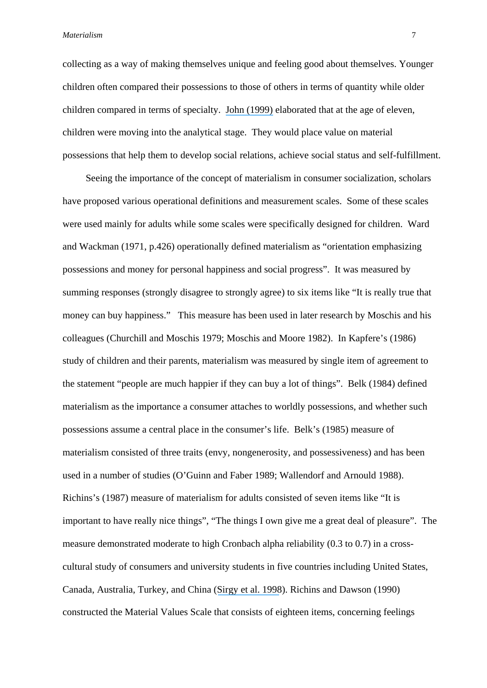collecting as a way of making themselves unique and feeling good about themselves. Younger children often compared their possessions to those of others in terms of quantity while older children compared in terms of specialty. [John \(1999\)](https://www.researchgate.net/publication/24099029_Consumer_Socialization_of_Children_A_Retrospective_Look_At_Twenty-Five_Years_of_Research?el=1_x_8&enrichId=rgreq-709c401c6c7d860b50dd24505361bda9-XXX&enrichSource=Y292ZXJQYWdlOzIzNTMxNzg1MDtBUzo0NDIwMDU5NDQ4MzYwOTZAMTQ4MjM5MzgzNzE0Mw==) elaborated that at the age of eleven, children were moving into the analytical stage. They would place value on material possessions that help them to develop social relations, achieve social status and self-fulfillment.

Seeing the importance of the concept of materialism in consumer socialization, scholars have proposed various operational definitions and measurement scales. Some of these scales were used mainly for adults while some scales were specifically designed for children. Ward and Wackman (1971, p.426) operationally defined materialism as "orientation emphasizing possessions and money for personal happiness and social progress". It was measured by summing responses (strongly disagree to strongly agree) to six items like "It is really true that money can buy happiness." This measure has been used in later research by Moschis and his colleagues (Churchill and Moschis 1979; Moschis and Moore 1982). In Kapfere's (1986) study of children and their parents, materialism was measured by single item of agreement to the statement "people are much happier if they can buy a lot of things". Belk (1984) defined materialism as the importance a consumer attaches to worldly possessions, and whether such possessions assume a central place in the consumer's life. Belk's (1985) measure of materialism consisted of three traits (envy, nongenerosity, and possessiveness) and has been used in a number of studies (O'Guinn and Faber 1989; Wallendorf and Arnould 1988). Richins's (1987) measure of materialism for adults consisted of seven items like "It is important to have really nice things", "The things I own give me a great deal of pleasure". The measure demonstrated moderate to high Cronbach alpha reliability (0.3 to 0.7) in a crosscultural study of consumers and university students in five countries including United States, Canada, Australia, Turkey, and China ([Sirgy et al. 1998](https://www.researchgate.net/publication/261624673_Does_Television_Viewership_Play_a_Role_in_the_Perception_of_Quality_of_Life?el=1_x_8&enrichId=rgreq-709c401c6c7d860b50dd24505361bda9-XXX&enrichSource=Y292ZXJQYWdlOzIzNTMxNzg1MDtBUzo0NDIwMDU5NDQ4MzYwOTZAMTQ4MjM5MzgzNzE0Mw==)). Richins and Dawson (1990) constructed the Material Values Scale that consists of eighteen items, concerning feelings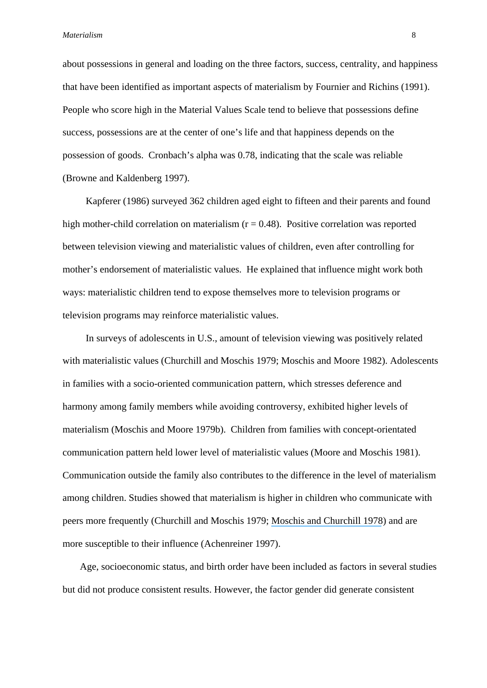about possessions in general and loading on the three factors, success, centrality, and happiness that have been identified as important aspects of materialism by Fournier and Richins (1991). People who score high in the Material Values Scale tend to believe that possessions define success, possessions are at the center of one's life and that happiness depends on the possession of goods. Cronbach's alpha was 0.78, indicating that the scale was reliable (Browne and Kaldenberg 1997).

Kapferer (1986) surveyed 362 children aged eight to fifteen and their parents and found high mother-child correlation on materialism  $(r = 0.48)$ . Positive correlation was reported between television viewing and materialistic values of children, even after controlling for mother's endorsement of materialistic values. He explained that influence might work both ways: materialistic children tend to expose themselves more to television programs or television programs may reinforce materialistic values.

In surveys of adolescents in U.S., amount of television viewing was positively related with materialistic values (Churchill and Moschis 1979; Moschis and Moore 1982). Adolescents in families with a socio-oriented communication pattern, which stresses deference and harmony among family members while avoiding controversy, exhibited higher levels of materialism (Moschis and Moore 1979b). Children from families with concept-orientated communication pattern held lower level of materialistic values (Moore and Moschis 1981). Communication outside the family also contributes to the difference in the level of materialism among children. Studies showed that materialism is higher in children who communicate with peers more frequently (Churchill and Moschis 1979; [Moschis and Churchill 1978](https://www.researchgate.net/publication/271778098_Consumer_Socialization_A_Theoretical_and_Empirical_Analysis?el=1_x_8&enrichId=rgreq-709c401c6c7d860b50dd24505361bda9-XXX&enrichSource=Y292ZXJQYWdlOzIzNTMxNzg1MDtBUzo0NDIwMDU5NDQ4MzYwOTZAMTQ4MjM5MzgzNzE0Mw==)) and are more susceptible to their influence (Achenreiner 1997).

Age, socioeconomic status, and birth order have been included as factors in several studies but did not produce consistent results. However, the factor gender did generate consistent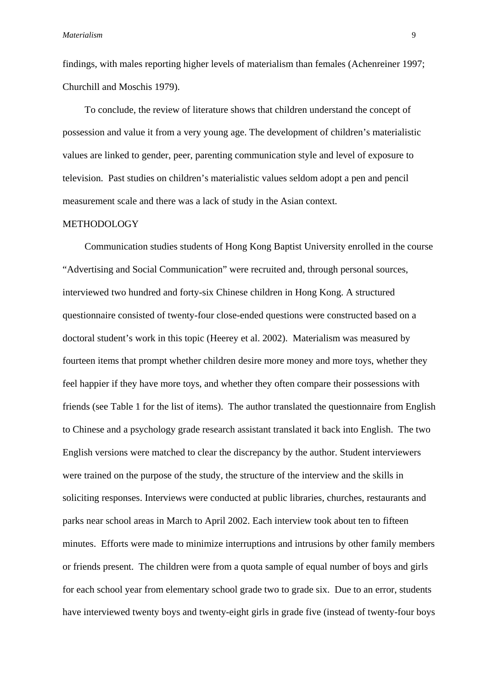findings, with males reporting higher levels of materialism than females (Achenreiner 1997; Churchill and Moschis 1979).

To conclude, the review of literature shows that children understand the concept of possession and value it from a very young age. The development of children's materialistic values are linked to gender, peer, parenting communication style and level of exposure to television. Past studies on children's materialistic values seldom adopt a pen and pencil measurement scale and there was a lack of study in the Asian context.

### METHODOLOGY

Communication studies students of Hong Kong Baptist University enrolled in the course "Advertising and Social Communication" were recruited and, through personal sources, interviewed two hundred and forty-six Chinese children in Hong Kong. A structured questionnaire consisted of twenty-four close-ended questions were constructed based on a doctoral student's work in this topic (Heerey et al. 2002). Materialism was measured by fourteen items that prompt whether children desire more money and more toys, whether they feel happier if they have more toys, and whether they often compare their possessions with friends (see Table 1 for the list of items). The author translated the questionnaire from English to Chinese and a psychology grade research assistant translated it back into English. The two English versions were matched to clear the discrepancy by the author. Student interviewers were trained on the purpose of the study, the structure of the interview and the skills in soliciting responses. Interviews were conducted at public libraries, churches, restaurants and parks near school areas in March to April 2002. Each interview took about ten to fifteen minutes. Efforts were made to minimize interruptions and intrusions by other family members or friends present. The children were from a quota sample of equal number of boys and girls for each school year from elementary school grade two to grade six. Due to an error, students have interviewed twenty boys and twenty-eight girls in grade five (instead of twenty-four boys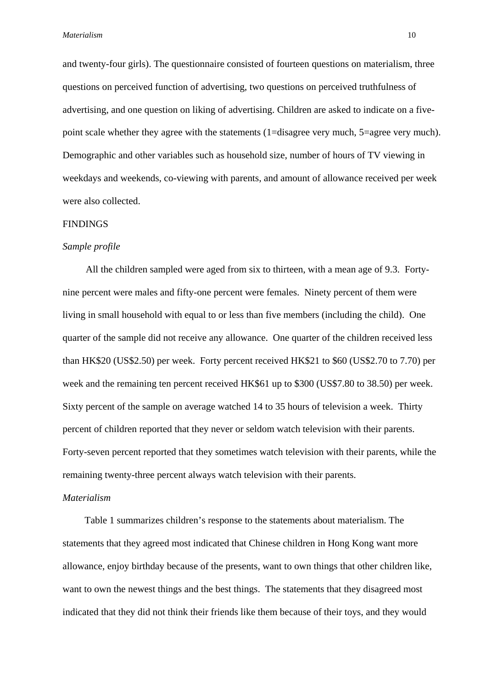and twenty-four girls). The questionnaire consisted of fourteen questions on materialism, three questions on perceived function of advertising, two questions on perceived truthfulness of advertising, and one question on liking of advertising. Children are asked to indicate on a fivepoint scale whether they agree with the statements (1=disagree very much, 5=agree very much). Demographic and other variables such as household size, number of hours of TV viewing in weekdays and weekends, co-viewing with parents, and amount of allowance received per week were also collected.

#### FINDINGS

#### *Sample profile*

All the children sampled were aged from six to thirteen, with a mean age of 9.3. Fortynine percent were males and fifty-one percent were females. Ninety percent of them were living in small household with equal to or less than five members (including the child). One quarter of the sample did not receive any allowance. One quarter of the children received less than HK\$20 (US\$2.50) per week. Forty percent received HK\$21 to \$60 (US\$2.70 to 7.70) per week and the remaining ten percent received HK\$61 up to \$300 (US\$7.80 to 38.50) per week. Sixty percent of the sample on average watched 14 to 35 hours of television a week. Thirty percent of children reported that they never or seldom watch television with their parents. Forty-seven percent reported that they sometimes watch television with their parents, while the remaining twenty-three percent always watch television with their parents.

#### *Materialism*

Table 1 summarizes children's response to the statements about materialism. The statements that they agreed most indicated that Chinese children in Hong Kong want more allowance, enjoy birthday because of the presents, want to own things that other children like, want to own the newest things and the best things. The statements that they disagreed most indicated that they did not think their friends like them because of their toys, and they would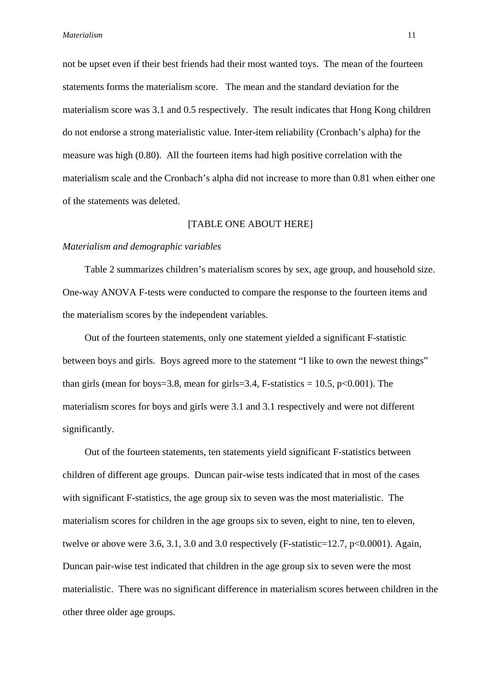not be upset even if their best friends had their most wanted toys. The mean of the fourteen statements forms the materialism score. The mean and the standard deviation for the materialism score was 3.1 and 0.5 respectively. The result indicates that Hong Kong children do not endorse a strong materialistic value. Inter-item reliability (Cronbach's alpha) for the measure was high (0.80). All the fourteen items had high positive correlation with the materialism scale and the Cronbach's alpha did not increase to more than 0.81 when either one of the statements was deleted.

### [TABLE ONE ABOUT HERE]

#### *Materialism and demographic variables*

Table 2 summarizes children's materialism scores by sex, age group, and household size. One-way ANOVA F-tests were conducted to compare the response to the fourteen items and the materialism scores by the independent variables.

Out of the fourteen statements, only one statement yielded a significant F-statistic between boys and girls. Boys agreed more to the statement "I like to own the newest things" than girls (mean for boys=3.8, mean for girls=3.4, F-statistics =  $10.5$ , p<0.001). The materialism scores for boys and girls were 3.1 and 3.1 respectively and were not different significantly.

Out of the fourteen statements, ten statements yield significant F-statistics between children of different age groups. Duncan pair-wise tests indicated that in most of the cases with significant F-statistics, the age group six to seven was the most materialistic. The materialism scores for children in the age groups six to seven, eight to nine, ten to eleven, twelve or above were 3.6, 3.1, 3.0 and 3.0 respectively (F-statistic=12.7,  $p<0.0001$ ). Again, Duncan pair-wise test indicated that children in the age group six to seven were the most materialistic. There was no significant difference in materialism scores between children in the other three older age groups.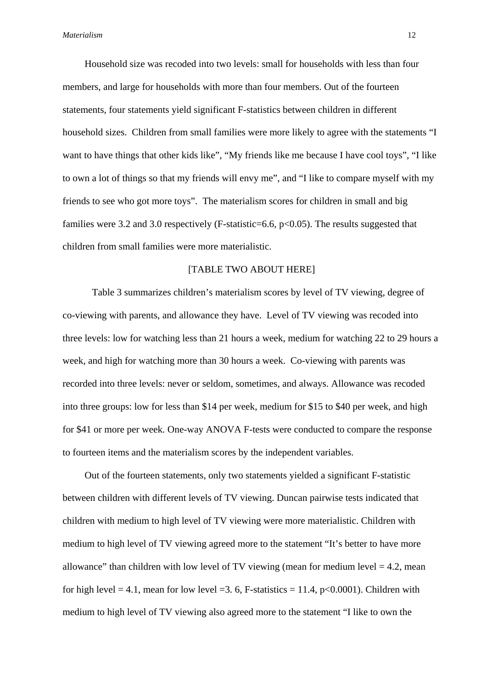Household size was recoded into two levels: small for households with less than four members, and large for households with more than four members. Out of the fourteen statements, four statements yield significant F-statistics between children in different household sizes. Children from small families were more likely to agree with the statements "I want to have things that other kids like", "My friends like me because I have cool toys", "I like to own a lot of things so that my friends will envy me", and "I like to compare myself with my friends to see who got more toys". The materialism scores for children in small and big families were 3.2 and 3.0 respectively (F-statistic=6.6, p<0.05). The results suggested that children from small families were more materialistic.

## [TABLE TWO ABOUT HERE]

Table 3 summarizes children's materialism scores by level of TV viewing, degree of co-viewing with parents, and allowance they have. Level of TV viewing was recoded into three levels: low for watching less than 21 hours a week, medium for watching 22 to 29 hours a week, and high for watching more than 30 hours a week. Co-viewing with parents was recorded into three levels: never or seldom, sometimes, and always. Allowance was recoded into three groups: low for less than \$14 per week, medium for \$15 to \$40 per week, and high for \$41 or more per week. One-way ANOVA F-tests were conducted to compare the response to fourteen items and the materialism scores by the independent variables.

Out of the fourteen statements, only two statements yielded a significant F-statistic between children with different levels of TV viewing. Duncan pairwise tests indicated that children with medium to high level of TV viewing were more materialistic. Children with medium to high level of TV viewing agreed more to the statement "It's better to have more allowance" than children with low level of TV viewing (mean for medium level  $= 4.2$ , mean for high level  $= 4.1$ , mean for low level  $= 3.6$ , F-statistics  $= 11.4$ , p<0.0001). Children with medium to high level of TV viewing also agreed more to the statement "I like to own the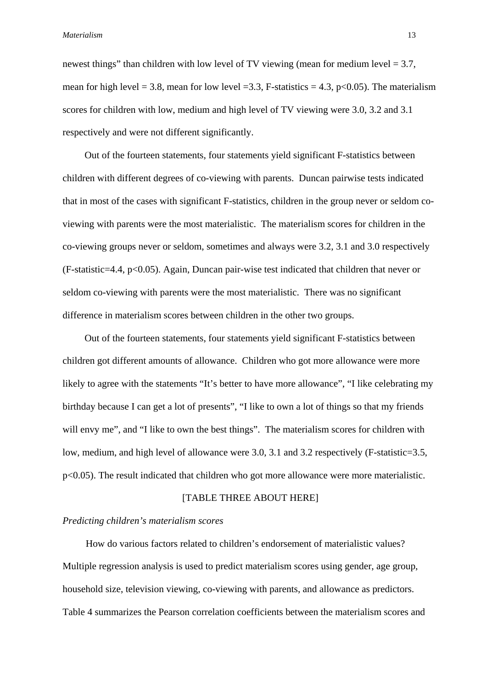newest things" than children with low level of TV viewing (mean for medium level  $= 3.7$ , mean for high level = 3.8, mean for low level = 3.3, F-statistics = 4.3, p<0.05). The materialism scores for children with low, medium and high level of TV viewing were 3.0, 3.2 and 3.1 respectively and were not different significantly.

Out of the fourteen statements, four statements yield significant F-statistics between children with different degrees of co-viewing with parents. Duncan pairwise tests indicated that in most of the cases with significant F-statistics, children in the group never or seldom coviewing with parents were the most materialistic. The materialism scores for children in the co-viewing groups never or seldom, sometimes and always were 3.2, 3.1 and 3.0 respectively (F-statistic=4.4, p<0.05). Again, Duncan pair-wise test indicated that children that never or seldom co-viewing with parents were the most materialistic. There was no significant difference in materialism scores between children in the other two groups.

Out of the fourteen statements, four statements yield significant F-statistics between children got different amounts of allowance. Children who got more allowance were more likely to agree with the statements "It's better to have more allowance", "I like celebrating my birthday because I can get a lot of presents", "I like to own a lot of things so that my friends will envy me", and "I like to own the best things". The materialism scores for children with low, medium, and high level of allowance were 3.0, 3.1 and 3.2 respectively (F-statistic=3.5, p<0.05). The result indicated that children who got more allowance were more materialistic.

## [TABLE THREE ABOUT HERE]

## *Predicting children's materialism scores*

How do various factors related to children's endorsement of materialistic values? Multiple regression analysis is used to predict materialism scores using gender, age group, household size, television viewing, co-viewing with parents, and allowance as predictors. Table 4 summarizes the Pearson correlation coefficients between the materialism scores and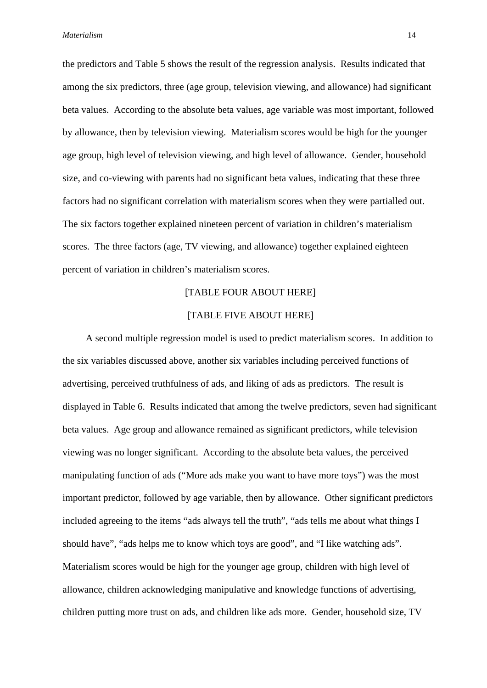the predictors and Table 5 shows the result of the regression analysis. Results indicated that among the six predictors, three (age group, television viewing, and allowance) had significant beta values. According to the absolute beta values, age variable was most important, followed by allowance, then by television viewing. Materialism scores would be high for the younger age group, high level of television viewing, and high level of allowance. Gender, household size, and co-viewing with parents had no significant beta values, indicating that these three factors had no significant correlation with materialism scores when they were partialled out. The six factors together explained nineteen percent of variation in children's materialism scores. The three factors (age, TV viewing, and allowance) together explained eighteen percent of variation in children's materialism scores.

## [TABLE FOUR ABOUT HERE]

## [TABLE FIVE ABOUT HERE]

A second multiple regression model is used to predict materialism scores. In addition to the six variables discussed above, another six variables including perceived functions of advertising, perceived truthfulness of ads, and liking of ads as predictors. The result is displayed in Table 6. Results indicated that among the twelve predictors, seven had significant beta values. Age group and allowance remained as significant predictors, while television viewing was no longer significant. According to the absolute beta values, the perceived manipulating function of ads ("More ads make you want to have more toys") was the most important predictor, followed by age variable, then by allowance. Other significant predictors included agreeing to the items "ads always tell the truth", "ads tells me about what things I should have", "ads helps me to know which toys are good", and "I like watching ads". Materialism scores would be high for the younger age group, children with high level of allowance, children acknowledging manipulative and knowledge functions of advertising, children putting more trust on ads, and children like ads more. Gender, household size, TV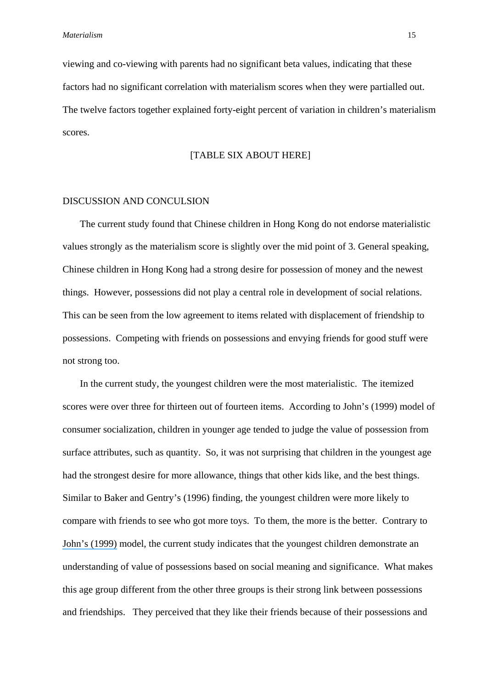viewing and co-viewing with parents had no significant beta values, indicating that these factors had no significant correlation with materialism scores when they were partialled out. The twelve factors together explained forty-eight percent of variation in children's materialism scores.

#### [TABLE SIX ABOUT HERE]

### DISCUSSION AND CONCULSION

The current study found that Chinese children in Hong Kong do not endorse materialistic values strongly as the materialism score is slightly over the mid point of 3. General speaking, Chinese children in Hong Kong had a strong desire for possession of money and the newest things. However, possessions did not play a central role in development of social relations. This can be seen from the low agreement to items related with displacement of friendship to possessions. Competing with friends on possessions and envying friends for good stuff were not strong too.

In the current study, the youngest children were the most materialistic. The itemized scores were over three for thirteen out of fourteen items. According to John's (1999) model of consumer socialization, children in younger age tended to judge the value of possession from surface attributes, such as quantity. So, it was not surprising that children in the youngest age had the strongest desire for more allowance, things that other kids like, and the best things. Similar to Baker and Gentry's (1996) finding, the youngest children were more likely to compare with friends to see who got more toys. To them, the more is the better. Contrary to [John's \(1999\)](https://www.researchgate.net/publication/24099029_Consumer_Socialization_of_Children_A_Retrospective_Look_At_Twenty-Five_Years_of_Research?el=1_x_8&enrichId=rgreq-709c401c6c7d860b50dd24505361bda9-XXX&enrichSource=Y292ZXJQYWdlOzIzNTMxNzg1MDtBUzo0NDIwMDU5NDQ4MzYwOTZAMTQ4MjM5MzgzNzE0Mw==) model, the current study indicates that the youngest children demonstrate an understanding of value of possessions based on social meaning and significance. What makes this age group different from the other three groups is their strong link between possessions and friendships. They perceived that they like their friends because of their possessions and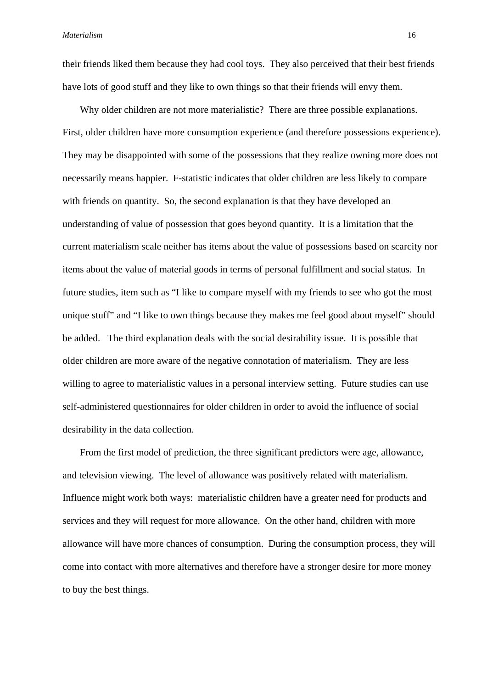their friends liked them because they had cool toys. They also perceived that their best friends have lots of good stuff and they like to own things so that their friends will envy them.

Why older children are not more materialistic? There are three possible explanations. First, older children have more consumption experience (and therefore possessions experience). They may be disappointed with some of the possessions that they realize owning more does not necessarily means happier. F-statistic indicates that older children are less likely to compare with friends on quantity. So, the second explanation is that they have developed an understanding of value of possession that goes beyond quantity. It is a limitation that the current materialism scale neither has items about the value of possessions based on scarcity nor items about the value of material goods in terms of personal fulfillment and social status. In future studies, item such as "I like to compare myself with my friends to see who got the most unique stuff" and "I like to own things because they makes me feel good about myself" should be added. The third explanation deals with the social desirability issue. It is possible that older children are more aware of the negative connotation of materialism. They are less willing to agree to materialistic values in a personal interview setting. Future studies can use self-administered questionnaires for older children in order to avoid the influence of social desirability in the data collection.

From the first model of prediction, the three significant predictors were age, allowance, and television viewing. The level of allowance was positively related with materialism. Influence might work both ways: materialistic children have a greater need for products and services and they will request for more allowance. On the other hand, children with more allowance will have more chances of consumption. During the consumption process, they will come into contact with more alternatives and therefore have a stronger desire for more money to buy the best things.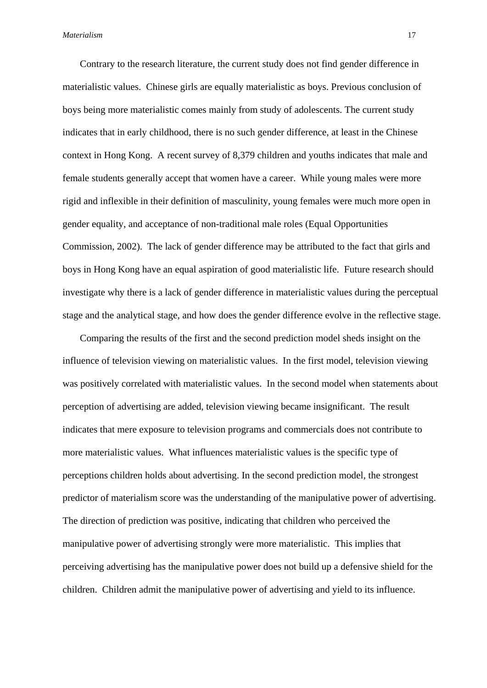Contrary to the research literature, the current study does not find gender difference in materialistic values. Chinese girls are equally materialistic as boys. Previous conclusion of boys being more materialistic comes mainly from study of adolescents. The current study indicates that in early childhood, there is no such gender difference, at least in the Chinese context in Hong Kong. A recent survey of 8,379 children and youths indicates that male and female students generally accept that women have a career. While young males were more rigid and inflexible in their definition of masculinity, young females were much more open in gender equality, and acceptance of non-traditional male roles (Equal Opportunities Commission, 2002). The lack of gender difference may be attributed to the fact that girls and boys in Hong Kong have an equal aspiration of good materialistic life. Future research should investigate why there is a lack of gender difference in materialistic values during the perceptual stage and the analytical stage, and how does the gender difference evolve in the reflective stage.

Comparing the results of the first and the second prediction model sheds insight on the influence of television viewing on materialistic values. In the first model, television viewing was positively correlated with materialistic values. In the second model when statements about perception of advertising are added, television viewing became insignificant. The result indicates that mere exposure to television programs and commercials does not contribute to more materialistic values. What influences materialistic values is the specific type of perceptions children holds about advertising. In the second prediction model, the strongest predictor of materialism score was the understanding of the manipulative power of advertising. The direction of prediction was positive, indicating that children who perceived the manipulative power of advertising strongly were more materialistic. This implies that perceiving advertising has the manipulative power does not build up a defensive shield for the children. Children admit the manipulative power of advertising and yield to its influence.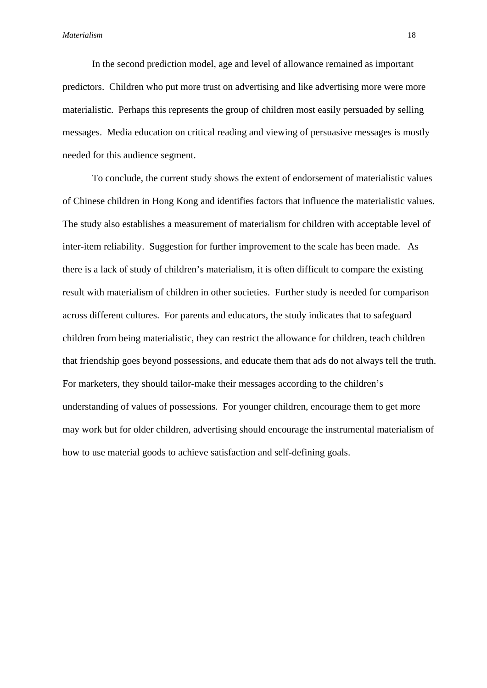In the second prediction model, age and level of allowance remained as important predictors. Children who put more trust on advertising and like advertising more were more materialistic. Perhaps this represents the group of children most easily persuaded by selling messages. Media education on critical reading and viewing of persuasive messages is mostly needed for this audience segment.

To conclude, the current study shows the extent of endorsement of materialistic values of Chinese children in Hong Kong and identifies factors that influence the materialistic values. The study also establishes a measurement of materialism for children with acceptable level of inter-item reliability. Suggestion for further improvement to the scale has been made. As there is a lack of study of children's materialism, it is often difficult to compare the existing result with materialism of children in other societies. Further study is needed for comparison across different cultures. For parents and educators, the study indicates that to safeguard children from being materialistic, they can restrict the allowance for children, teach children that friendship goes beyond possessions, and educate them that ads do not always tell the truth. For marketers, they should tailor-make their messages according to the children's understanding of values of possessions. For younger children, encourage them to get more may work but for older children, advertising should encourage the instrumental materialism of how to use material goods to achieve satisfaction and self-defining goals.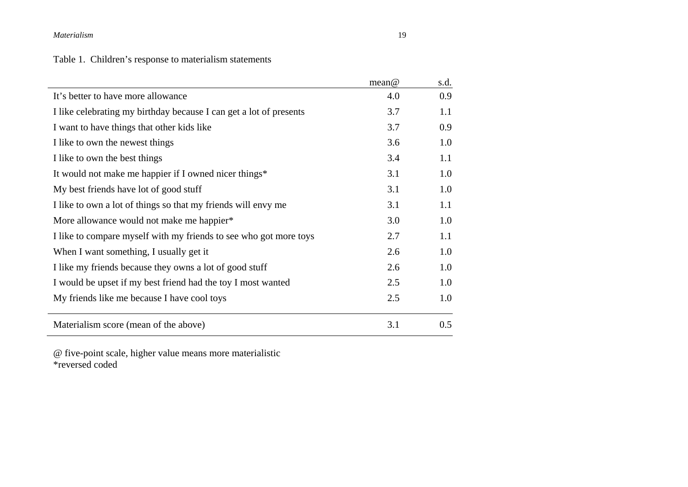Table 1. Children's response to materialism statements

|                                                                    | mean@ | s.d. |
|--------------------------------------------------------------------|-------|------|
| It's better to have more allowance                                 | 4.0   | 0.9  |
| I like celebrating my birthday because I can get a lot of presents | 3.7   | 1.1  |
| I want to have things that other kids like                         | 3.7   | 0.9  |
| I like to own the newest things                                    | 3.6   | 1.0  |
| I like to own the best things                                      | 3.4   | 1.1  |
| It would not make me happier if I owned nicer things*              | 3.1   | 1.0  |
| My best friends have lot of good stuff                             | 3.1   | 1.0  |
| I like to own a lot of things so that my friends will envy me      | 3.1   | 1.1  |
| More allowance would not make me happier*                          | 3.0   | 1.0  |
| I like to compare myself with my friends to see who got more toys  | 2.7   | 1.1  |
| When I want something, I usually get it                            | 2.6   | 1.0  |
| I like my friends because they owns a lot of good stuff            | 2.6   | 1.0  |
| I would be upset if my best friend had the toy I most wanted       | 2.5   | 1.0  |
| My friends like me because I have cool toys                        | 2.5   | 1.0  |
| Materialism score (mean of the above)                              | 3.1   | 0.5  |

@ five-point scale, higher value means more materialistic \*reversed coded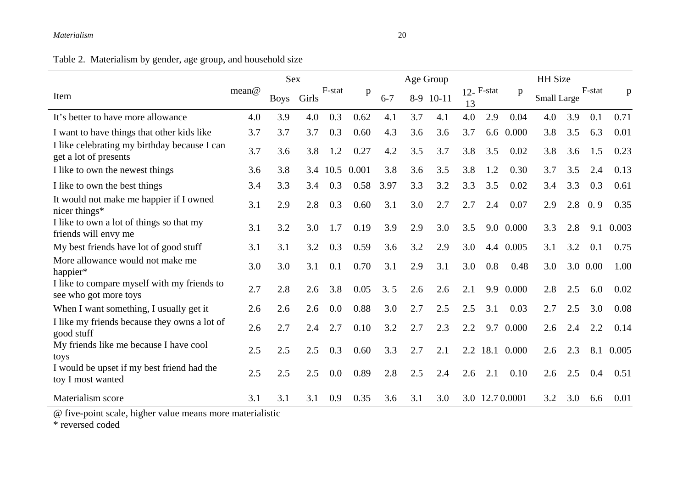# Table 2. Materialism by gender, age group, and household size

|                                                                       |       | Sex         |       |        |             |         | Age Group |           |     |               |            | <b>HH</b> Size |     |          |       |
|-----------------------------------------------------------------------|-------|-------------|-------|--------|-------------|---------|-----------|-----------|-----|---------------|------------|----------------|-----|----------|-------|
| Item                                                                  | mean@ | <b>Boys</b> | Girls | F-stat | $\mathbf p$ | $6 - 7$ |           | 8-9 10-11 | 13  | $12 -$ F-stat | p          | Small Large    |     | F-stat   | p     |
| It's better to have more allowance                                    | 4.0   | 3.9         | 4.0   | 0.3    | 0.62        | 4.1     | 3.7       | 4.1       | 4.0 | 2.9           | 0.04       | 4.0            | 3.9 | 0.1      | 0.71  |
| I want to have things that other kids like                            | 3.7   | 3.7         | 3.7   | 0.3    | 0.60        | 4.3     | 3.6       | 3.6       | 3.7 |               | 6.6 0.000  | 3.8            | 3.5 | 6.3      | 0.01  |
| I like celebrating my birthday because I can<br>get a lot of presents | 3.7   | 3.6         | 3.8   | 1.2    | 0.27        | 4.2     | 3.5       | 3.7       | 3.8 | 3.5           | 0.02       | 3.8            | 3.6 | 1.5      | 0.23  |
| I like to own the newest things                                       | 3.6   | 3.8         | 3.4   | 10.5   | 0.001       | 3.8     | 3.6       | 3.5       | 3.8 | 1.2           | 0.30       | 3.7            | 3.5 | 2.4      | 0.13  |
| I like to own the best things                                         | 3.4   | 3.3         | 3.4   | 0.3    | 0.58        | 3.97    | 3.3       | 3.2       | 3.3 | 3.5           | 0.02       | 3.4            | 3.3 | 0.3      | 0.61  |
| It would not make me happier if I owned<br>nicer things*              | 3.1   | 2.9         | 2.8   | 0.3    | 0.60        | 3.1     | 3.0       | 2.7       | 2.7 | 2.4           | 0.07       | 2.9            | 2.8 | 0.9      | 0.35  |
| I like to own a lot of things so that my<br>friends will envy me      | 3.1   | 3.2         | 3.0   | 1.7    | 0.19        | 3.9     | 2.9       | 3.0       | 3.5 |               | 9.0 0.000  | 3.3            | 2.8 | 9.1      | 0.003 |
| My best friends have lot of good stuff                                | 3.1   | 3.1         | 3.2   | 0.3    | 0.59        | 3.6     | 3.2       | 2.9       | 3.0 |               | 4.4 0.005  | 3.1            | 3.2 | 0.1      | 0.75  |
| More allowance would not make me<br>happier*                          | 3.0   | 3.0         | 3.1   | 0.1    | 0.70        | 3.1     | 2.9       | 3.1       | 3.0 | 0.8           | 0.48       | 3.0            |     | 3.0 0.00 | 1.00  |
| I like to compare myself with my friends to<br>see who got more toys  | 2.7   | 2.8         | 2.6   | 3.8    | 0.05        | 3.5     | 2.6       | 2.6       | 2.1 | 9.9           | 0.000      | 2.8            | 2.5 | 6.0      | 0.02  |
| When I want something, I usually get it                               | 2.6   | 2.6         | 2.6   | 0.0    | 0.88        | 3.0     | 2.7       | 2.5       | 2.5 | 3.1           | 0.03       | 2.7            | 2.5 | 3.0      | 0.08  |
| I like my friends because they owns a lot of<br>good stuff            | 2.6   | 2.7         | 2.4   | 2.7    | 0.10        | 3.2     | 2.7       | 2.3       | 2.2 | 9.7           | 0.000      | 2.6            | 2.4 | 2.2      | 0.14  |
| My friends like me because I have cool<br>toys                        | 2.5   | 2.5         | 2.5   | 0.3    | 0.60        | 3.3     | 2.7       | 2.1       |     | 2.2 18.1      | 0.000      | 2.6            | 2.3 | 8.1      | 0.005 |
| I would be upset if my best friend had the<br>toy I most wanted       | 2.5   | 2.5         | 2.5   | 0.0    | 0.89        | 2.8     | 2.5       | 2.4       | 2.6 | 2.1           | 0.10       | 2.6            | 2.5 | 0.4      | 0.51  |
| Materialism score                                                     | 3.1   | 3.1         | 3.1   | 0.9    | 0.35        | 3.6     | 3.1       | 3.0       | 3.0 |               | 12.70.0001 | 3.2            | 3.0 | 6.6      | 0.01  |

@ five-point scale, higher value means more materialistic

\* reversed coded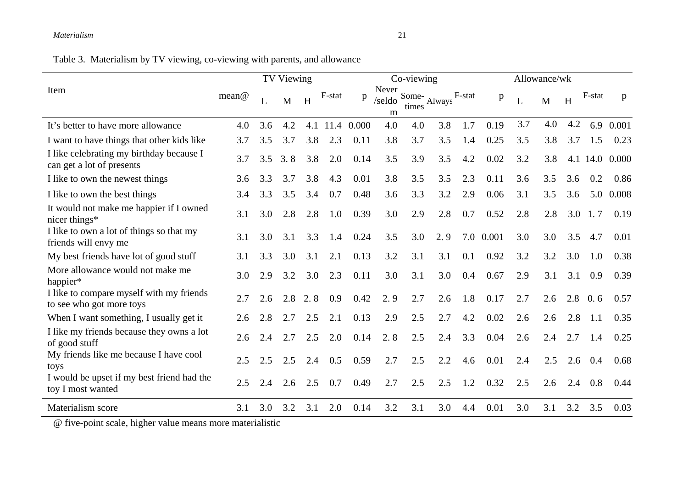Table 3. Materialism by TV viewing, co-viewing with parents, and allowance

|                                                                       | TV Viewing |     |     |     |        | Co-viewing |                      |       |             |        | Allowance/wk |     |     |     |        |       |
|-----------------------------------------------------------------------|------------|-----|-----|-----|--------|------------|----------------------|-------|-------------|--------|--------------|-----|-----|-----|--------|-------|
| Item                                                                  | mean@      |     | M   | H   | F-stat | p          | Never<br>/seldo<br>m | times | Some-Always | F-stat | p            | L   | M   | H   | F-stat | p     |
| It's better to have more allowance                                    | 4.0        | 3.6 | 4.2 | 4.1 | 11.4   | 0.000      | 4.0                  | 4.0   | 3.8         | 1.7    | 0.19         | 3.7 | 4.0 | 4.2 | 6.9    | 0.001 |
| I want to have things that other kids like                            | 3.7        | 3.5 | 3.7 | 3.8 | 2.3    | 0.11       | 3.8                  | 3.7   | 3.5         | 1.4    | 0.25         | 3.5 | 3.8 | 3.7 | 1.5    | 0.23  |
| I like celebrating my birthday because I<br>can get a lot of presents | 3.7        | 3.5 | 3.8 | 3.8 | 2.0    | 0.14       | 3.5                  | 3.9   | 3.5         | 4.2    | 0.02         | 3.2 | 3.8 | 4.1 | 14.0   | 0.000 |
| I like to own the newest things                                       | 3.6        | 3.3 | 3.7 | 3.8 | 4.3    | 0.01       | 3.8                  | 3.5   | 3.5         | 2.3    | 0.11         | 3.6 | 3.5 | 3.6 | 0.2    | 0.86  |
| I like to own the best things                                         | 3.4        | 3.3 | 3.5 | 3.4 | 0.7    | 0.48       | 3.6                  | 3.3   | 3.2         | 2.9    | 0.06         | 3.1 | 3.5 | 3.6 | 5.0    | 0.008 |
| It would not make me happier if I owned<br>nicer things*              | 3.1        | 3.0 | 2.8 | 2.8 | 1.0    | 0.39       | 3.0                  | 2.9   | 2.8         | 0.7    | 0.52         | 2.8 | 2.8 | 3.0 | 1.7    | 0.19  |
| I like to own a lot of things so that my<br>friends will envy me      | 3.1        | 3.0 | 3.1 | 3.3 | 1.4    | 0.24       | 3.5                  | 3.0   | 2.9         | 7.0    | 0.001        | 3.0 | 3.0 | 3.5 | 4.7    | 0.01  |
| My best friends have lot of good stuff                                | 3.1        | 3.3 | 3.0 | 3.1 | 2.1    | 0.13       | 3.2                  | 3.1   | 3.1         | 0.1    | 0.92         | 3.2 | 3.2 | 3.0 | 1.0    | 0.38  |
| More allowance would not make me<br>happier*                          | 3.0        | 2.9 | 3.2 | 3.0 | 2.3    | 0.11       | 3.0                  | 3.1   | 3.0         | 0.4    | 0.67         | 2.9 | 3.1 | 3.1 | 0.9    | 0.39  |
| I like to compare myself with my friends<br>to see who got more toys  | 2.7        | 2.6 | 2.8 | 2.8 | 0.9    | 0.42       | 2.9                  | 2.7   | 2.6         | 1.8    | 0.17         | 2.7 | 2.6 | 2.8 | 0.6    | 0.57  |
| When I want something, I usually get it                               | 2.6        | 2.8 | 2.7 | 2.5 | 2.1    | 0.13       | 2.9                  | 2.5   | 2.7         | 4.2    | 0.02         | 2.6 | 2.6 | 2.8 | 1.1    | 0.35  |
| I like my friends because they owns a lot<br>of good stuff            | 2.6        | 2.4 | 2.7 | 2.5 | 2.0    | 0.14       | 2.8                  | 2.5   | 2.4         | 3.3    | 0.04         | 2.6 | 2.4 | 2.7 | 1.4    | 0.25  |
| My friends like me because I have cool<br>toys                        | 2.5        | 2.5 | 2.5 | 2.4 | 0.5    | 0.59       | 2.7                  | 2.5   | 2.2         | 4.6    | 0.01         | 2.4 | 2.5 | 2.6 | 0.4    | 0.68  |
| I would be upset if my best friend had the<br>toy I most wanted       | 2.5        | 2.4 | 2.6 | 2.5 | 0.7    | 0.49       | 2.7                  | 2.5   | 2.5         | 1.2    | 0.32         | 2.5 | 2.6 | 2.4 | 0.8    | 0.44  |
| Materialism score                                                     | 3.1        | 3.0 | 3.2 | 3.1 | 2.0    | 0.14       | 3.2                  | 3.1   | 3.0         | 4.4    | 0.01         | 3.0 | 3.1 | 3.2 | 3.5    | 0.03  |

@ five-point scale, higher value means more materialistic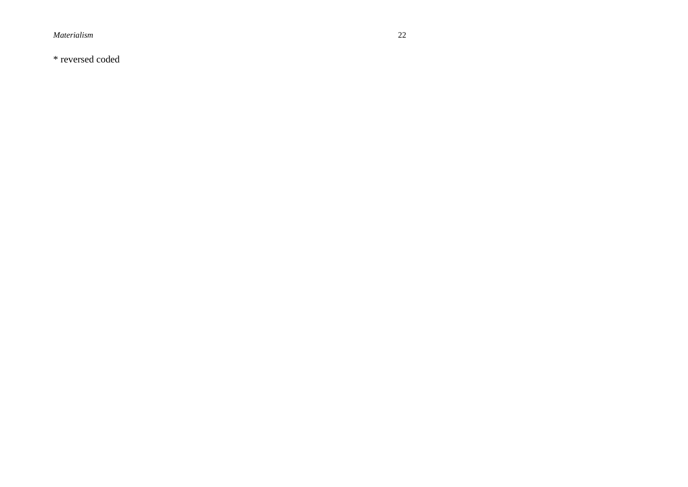\* reversed coded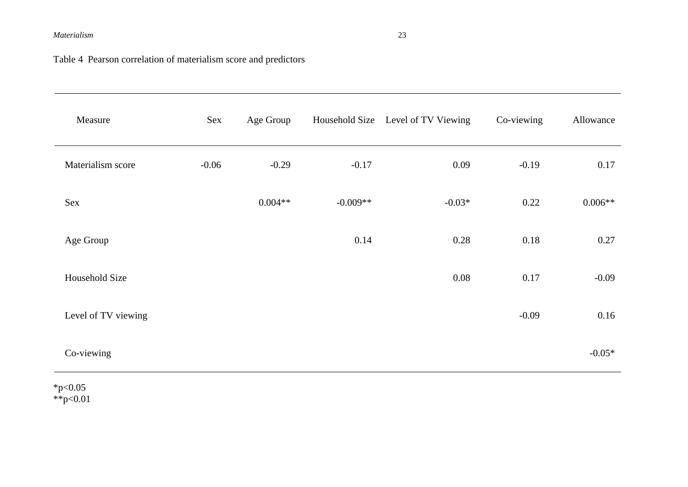Table 4 Pearson correlation of materialism score and predictors

| Measure             | Sex     | Age Group |            | Household Size Level of TV Viewing | Co-viewing | Allowance |
|---------------------|---------|-----------|------------|------------------------------------|------------|-----------|
| Materialism score   | $-0.06$ | $-0.29$   | $-0.17$    | 0.09                               | $-0.19$    | 0.17      |
| Sex                 |         | $0.004**$ | $-0.009**$ | $-0.03*$                           | 0.22       | $0.006**$ |
| Age Group           |         |           | 0.14       | 0.28                               | 0.18       | 0.27      |
| Household Size      |         |           |            | 0.08                               | 0.17       | $-0.09$   |
| Level of TV viewing |         |           |            |                                    | $-0.09$    | 0.16      |
| Co-viewing          |         |           |            |                                    |            | $-0.05*$  |

 $*p<0.05$ \*\*p<0.01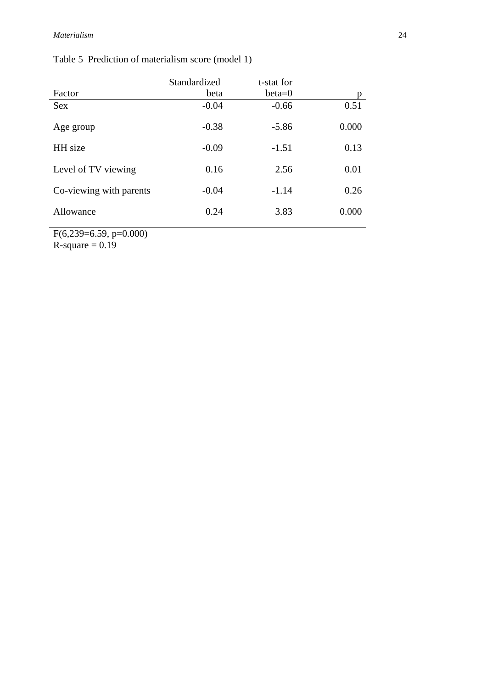## Table 5 Prediction of materialism score (model 1)

|                         | Standardized | t-stat for |       |
|-------------------------|--------------|------------|-------|
| Factor                  | beta         | $beta=0$   | p     |
| <b>Sex</b>              | $-0.04$      | $-0.66$    | 0.51  |
| Age group               | $-0.38$      | $-5.86$    | 0.000 |
| HH size                 | $-0.09$      | $-1.51$    | 0.13  |
| Level of TV viewing     | 0.16         | 2.56       | 0.01  |
| Co-viewing with parents | $-0.04$      | $-1.14$    | 0.26  |
| Allowance               | 0.24         | 3.83       | 0.000 |

F(6,239=6.59, p=0.000)  $R$ -square = 0.19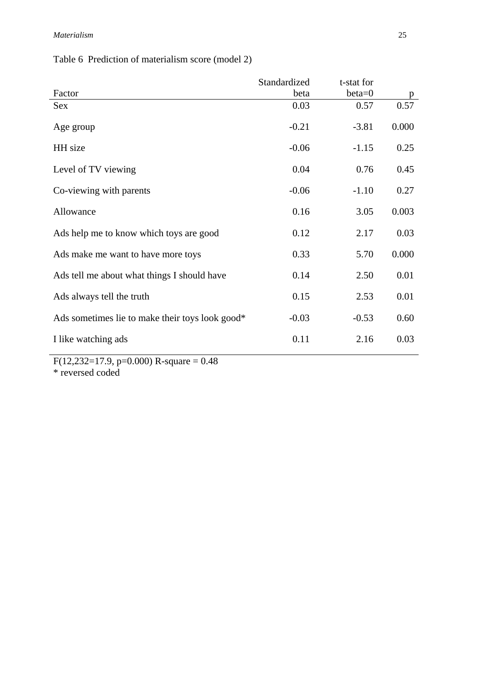Table 6 Prediction of materialism score (model 2)

| Standardized | t-stat for |       |
|--------------|------------|-------|
| beta         | $beta=0$   | p     |
| 0.03         | 0.57       | 0.57  |
| $-0.21$      | $-3.81$    | 0.000 |
| $-0.06$      | $-1.15$    | 0.25  |
| 0.04         | 0.76       | 0.45  |
| $-0.06$      | $-1.10$    | 0.27  |
| 0.16         | 3.05       | 0.003 |
| 0.12         | 2.17       | 0.03  |
| 0.33         | 5.70       | 0.000 |
| 0.14         | 2.50       | 0.01  |
| 0.15         | 2.53       | 0.01  |
| $-0.03$      | $-0.53$    | 0.60  |
| 0.11         | 2.16       | 0.03  |
|              |            |       |

 $F(12,232=17.9, p=0.000)$  R-square = 0.48 \* reversed coded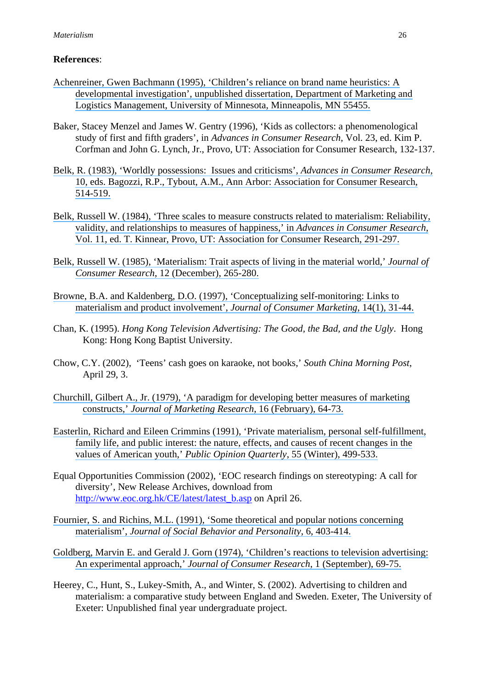## **References**:

- [Achenreiner, Gwen Bachmann \(1995\), 'Children's reliance on brand name heuristics: A](https://www.researchgate.net/publication/35530103_Children)  [developmental investigation', unpublished dissertation, Department of Marketing and](https://www.researchgate.net/publication/35530103_Children) [Logistics Management, University of Minnesota, Minneapolis, MN 55455.](https://www.researchgate.net/publication/35530103_Children)
- Baker, Stacey Menzel and James W. Gentry (1996), 'Kids as collectors: a phenomenological study of first and fifth graders', in *Advances in Consumer Research*, Vol. 23, ed. Kim P. Corfman and John G. Lynch, Jr., Provo, UT: Association for Consumer Research, 132-137.
- [Belk, R. \(1983\), 'Worldly possessions: Issues and criticisms',](https://www.researchgate.net/publication/294688710_Worldly_possessions_Issues_and_criticisms?el=1_x_8&enrichId=rgreq-709c401c6c7d860b50dd24505361bda9-XXX&enrichSource=Y292ZXJQYWdlOzIzNTMxNzg1MDtBUzo0NDIwMDU5NDQ4MzYwOTZAMTQ4MjM5MzgzNzE0Mw==) *Advances in Consumer Research*, [10, eds. Bagozzi, R.P., Tybout, A.M., Ann Arbor: Association for Consumer Research,](https://www.researchgate.net/publication/294688710_Worldly_possessions_Issues_and_criticisms?el=1_x_8&enrichId=rgreq-709c401c6c7d860b50dd24505361bda9-XXX&enrichSource=Y292ZXJQYWdlOzIzNTMxNzg1MDtBUzo0NDIwMDU5NDQ4MzYwOTZAMTQ4MjM5MzgzNzE0Mw==) [514-519.](https://www.researchgate.net/publication/294688710_Worldly_possessions_Issues_and_criticisms?el=1_x_8&enrichId=rgreq-709c401c6c7d860b50dd24505361bda9-XXX&enrichSource=Y292ZXJQYWdlOzIzNTMxNzg1MDtBUzo0NDIwMDU5NDQ4MzYwOTZAMTQ4MjM5MzgzNzE0Mw==)
- [Belk, Russell W. \(1984\), 'Three scales to measure constructs related to materialism: Reliability,](https://www.researchgate.net/publication/284145007_Three_Scales_to_Measure_Constructs_Related_to_Materialism_Reliability_Validity_and_Relationships_to_Measures_of_Happiness?el=1_x_8&enrichId=rgreq-709c401c6c7d860b50dd24505361bda9-XXX&enrichSource=Y292ZXJQYWdlOzIzNTMxNzg1MDtBUzo0NDIwMDU5NDQ4MzYwOTZAMTQ4MjM5MzgzNzE0Mw==) [validity, and relationships to measures of happiness,' in](https://www.researchgate.net/publication/284145007_Three_Scales_to_Measure_Constructs_Related_to_Materialism_Reliability_Validity_and_Relationships_to_Measures_of_Happiness?el=1_x_8&enrichId=rgreq-709c401c6c7d860b50dd24505361bda9-XXX&enrichSource=Y292ZXJQYWdlOzIzNTMxNzg1MDtBUzo0NDIwMDU5NDQ4MzYwOTZAMTQ4MjM5MzgzNzE0Mw==) *Advances in Consumer Research*, [Vol. 11, ed. T. Kinnear, Provo, UT: Association for Consumer Research, 291-297.](https://www.researchgate.net/publication/284145007_Three_Scales_to_Measure_Constructs_Related_to_Materialism_Reliability_Validity_and_Relationships_to_Measures_of_Happiness?el=1_x_8&enrichId=rgreq-709c401c6c7d860b50dd24505361bda9-XXX&enrichSource=Y292ZXJQYWdlOzIzNTMxNzg1MDtBUzo0NDIwMDU5NDQ4MzYwOTZAMTQ4MjM5MzgzNzE0Mw==)
- [Belk, Russell W. \(1985\), 'Materialism: Trait aspects of living in the material world,'](https://www.researchgate.net/publication/24098431_Materialism_Trait_Aspects_of_Living_in_the_Material_World?el=1_x_8&enrichId=rgreq-709c401c6c7d860b50dd24505361bda9-XXX&enrichSource=Y292ZXJQYWdlOzIzNTMxNzg1MDtBUzo0NDIwMDU5NDQ4MzYwOTZAMTQ4MjM5MzgzNzE0Mw==) *Journal of Consumer Research*[, 12 \(December\), 265-280.](https://www.researchgate.net/publication/24098431_Materialism_Trait_Aspects_of_Living_in_the_Material_World?el=1_x_8&enrichId=rgreq-709c401c6c7d860b50dd24505361bda9-XXX&enrichSource=Y292ZXJQYWdlOzIzNTMxNzg1MDtBUzo0NDIwMDU5NDQ4MzYwOTZAMTQ4MjM5MzgzNzE0Mw==)
- [Browne, B.A. and Kaldenberg, D.O. \(1997\), 'Conceptualizing self-monitoring: Links to](https://www.researchgate.net/publication/233894702_Conceptualizing_self-monitoring_Links_to_materialism_and_product_involvement?el=1_x_8&enrichId=rgreq-709c401c6c7d860b50dd24505361bda9-XXX&enrichSource=Y292ZXJQYWdlOzIzNTMxNzg1MDtBUzo0NDIwMDU5NDQ4MzYwOTZAMTQ4MjM5MzgzNzE0Mw==) [materialism and product involvement',](https://www.researchgate.net/publication/233894702_Conceptualizing_self-monitoring_Links_to_materialism_and_product_involvement?el=1_x_8&enrichId=rgreq-709c401c6c7d860b50dd24505361bda9-XXX&enrichSource=Y292ZXJQYWdlOzIzNTMxNzg1MDtBUzo0NDIwMDU5NDQ4MzYwOTZAMTQ4MjM5MzgzNzE0Mw==) *Journal of Consumer Marketing*, 14(1), 31-44.
- Chan, K. (1995). *Hong Kong Television Advertising: The Good, the Bad, and the Ugly*. Hong Kong: Hong Kong Baptist University.
- Chow, C.Y. (2002), 'Teens' cash goes on karaoke, not books,' *South China Morning Post*, April 29, 3.
- [Churchill, Gilbert A., Jr. \(1979\), 'A paradigm for developing better measures of marketing](https://www.researchgate.net/publication/235361368_A_Paradigm_For_Developing_Better_Measures_Of_Marketing_Constructs?el=1_x_8&enrichId=rgreq-709c401c6c7d860b50dd24505361bda9-XXX&enrichSource=Y292ZXJQYWdlOzIzNTMxNzg1MDtBUzo0NDIwMDU5NDQ4MzYwOTZAMTQ4MjM5MzgzNzE0Mw==) constructs,' *[Journal of Marketing Research](https://www.researchgate.net/publication/235361368_A_Paradigm_For_Developing_Better_Measures_Of_Marketing_Constructs?el=1_x_8&enrichId=rgreq-709c401c6c7d860b50dd24505361bda9-XXX&enrichSource=Y292ZXJQYWdlOzIzNTMxNzg1MDtBUzo0NDIwMDU5NDQ4MzYwOTZAMTQ4MjM5MzgzNzE0Mw==)*, 16 (February), 64-73.
- [Easterlin, Richard and Eileen Crimmins \(1991\), 'Private materialism, personal self-fulfillment,](https://www.researchgate.net/publication/31488267_Private_Materialism_Personal_Self-Fulfillment_Family_Life_and_Public_Interest_The_Nature_Effects_and_Causes_of_Recent_Changes_in_the_Values_of_American_Youth?el=1_x_8&enrichId=rgreq-709c401c6c7d860b50dd24505361bda9-XXX&enrichSource=Y292ZXJQYWdlOzIzNTMxNzg1MDtBUzo0NDIwMDU5NDQ4MzYwOTZAMTQ4MjM5MzgzNzE0Mw==) [family life, and public interest: the nature, effects, and causes of recent changes in the](https://www.researchgate.net/publication/31488267_Private_Materialism_Personal_Self-Fulfillment_Family_Life_and_Public_Interest_The_Nature_Effects_and_Causes_of_Recent_Changes_in_the_Values_of_American_Youth?el=1_x_8&enrichId=rgreq-709c401c6c7d860b50dd24505361bda9-XXX&enrichSource=Y292ZXJQYWdlOzIzNTMxNzg1MDtBUzo0NDIwMDU5NDQ4MzYwOTZAMTQ4MjM5MzgzNzE0Mw==) [values of American youth,'](https://www.researchgate.net/publication/31488267_Private_Materialism_Personal_Self-Fulfillment_Family_Life_and_Public_Interest_The_Nature_Effects_and_Causes_of_Recent_Changes_in_the_Values_of_American_Youth?el=1_x_8&enrichId=rgreq-709c401c6c7d860b50dd24505361bda9-XXX&enrichSource=Y292ZXJQYWdlOzIzNTMxNzg1MDtBUzo0NDIwMDU5NDQ4MzYwOTZAMTQ4MjM5MzgzNzE0Mw==) *Public Opinion Quarterly*, 55 (Winter), 499-533.
- Equal Opportunities Commission (2002), 'EOC research findings on stereotyping: A call for diversity', New Release Archives, download from http://www.eoc.org.hk/CE/latest/latest\_b.asp on April 26.
- [Fournier, S. and Richins, M.L. \(1991\), 'Some theoretical and popular notions concerning](https://www.researchgate.net/publication/307589007_Some_Theoretical_and_Popular_Notions_Concerning_Materialism?el=1_x_8&enrichId=rgreq-709c401c6c7d860b50dd24505361bda9-XXX&enrichSource=Y292ZXJQYWdlOzIzNTMxNzg1MDtBUzo0NDIwMDU5NDQ4MzYwOTZAMTQ4MjM5MzgzNzE0Mw==) materialism', *[Journal of Social Behavior and Personality](https://www.researchgate.net/publication/307589007_Some_Theoretical_and_Popular_Notions_Concerning_Materialism?el=1_x_8&enrichId=rgreq-709c401c6c7d860b50dd24505361bda9-XXX&enrichSource=Y292ZXJQYWdlOzIzNTMxNzg1MDtBUzo0NDIwMDU5NDQ4MzYwOTZAMTQ4MjM5MzgzNzE0Mw==)*, 6, 403-414.
- [Goldberg, Marvin E. and Gerald J. Gorn \(1974\), 'Children's reactions to television advertising:](https://www.researchgate.net/publication/24098303_Children)  An experimental approach,' *[Journal of Consumer Research](https://www.researchgate.net/publication/24098303_Children)*, 1 (September), 69-75.
- Heerey, C., Hunt, S., Lukey-Smith, A., and Winter, S. (2002). Advertising to children and materialism: a comparative study between England and Sweden. Exeter, The University of Exeter: Unpublished final year undergraduate project.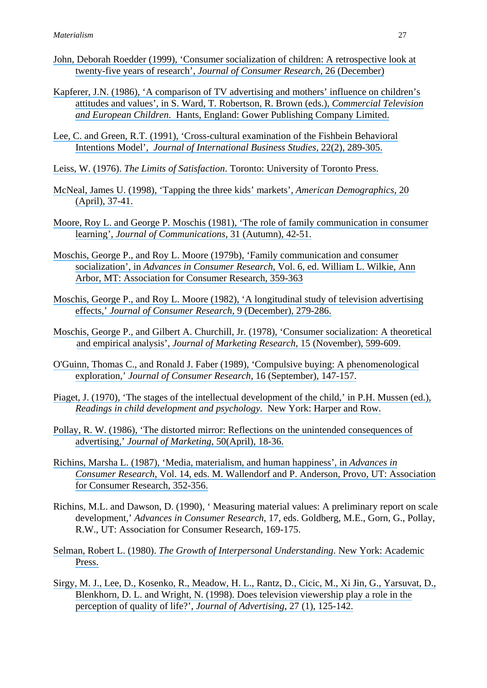- [John, Deborah Roedder \(1999\), 'Consumer socialization of children: A retrospective look at](https://www.researchgate.net/publication/24099029_Consumer_Socialization_of_Children_A_Retrospective_Look_At_Twenty-Five_Years_of_Research?el=1_x_8&enrichId=rgreq-709c401c6c7d860b50dd24505361bda9-XXX&enrichSource=Y292ZXJQYWdlOzIzNTMxNzg1MDtBUzo0NDIwMDU5NDQ4MzYwOTZAMTQ4MjM5MzgzNzE0Mw==)  [twenty-five years of research',](https://www.researchgate.net/publication/24099029_Consumer_Socialization_of_Children_A_Retrospective_Look_At_Twenty-Five_Years_of_Research?el=1_x_8&enrichId=rgreq-709c401c6c7d860b50dd24505361bda9-XXX&enrichSource=Y292ZXJQYWdlOzIzNTMxNzg1MDtBUzo0NDIwMDU5NDQ4MzYwOTZAMTQ4MjM5MzgzNzE0Mw==) *Journal of Consumer Research*, 26 (December)
- [Kapferer, J.N. \(1986\), 'A comparison of TV advertising and mothers' influence on children's](https://www.researchgate.net/publication/281803524_A_comparison_of_TV_advertising_and_mothers) [attitudes and values', in S. Ward, T. Robertson, R. Brown \(eds.\),](https://www.researchgate.net/publication/281803524_A_comparison_of_TV_advertising_and_mothers) *Commercial Television and European Children*[. Hants, England: Gower Publishing Company Limited.](https://www.researchgate.net/publication/281803524_A_comparison_of_TV_advertising_and_mothers)
- [Lee, C. and Green, R.T. \(1991\), 'Cross-cultural examination of the Fishbein Behavioral](https://www.researchgate.net/publication/5222552_Cross-Cultural_Examination_of_the_Fishbein_Behavioral_Intensions_Model?el=1_x_8&enrichId=rgreq-709c401c6c7d860b50dd24505361bda9-XXX&enrichSource=Y292ZXJQYWdlOzIzNTMxNzg1MDtBUzo0NDIwMDU5NDQ4MzYwOTZAMTQ4MjM5MzgzNzE0Mw==)  Intentions Model', *[Journal of International Business Studies](https://www.researchgate.net/publication/5222552_Cross-Cultural_Examination_of_the_Fishbein_Behavioral_Intensions_Model?el=1_x_8&enrichId=rgreq-709c401c6c7d860b50dd24505361bda9-XXX&enrichSource=Y292ZXJQYWdlOzIzNTMxNzg1MDtBUzo0NDIwMDU5NDQ4MzYwOTZAMTQ4MjM5MzgzNzE0Mw==)*, 22(2), 289-305.
- Leiss, W. (1976). *The Limits of Satisfaction*[. Toronto: University of Toronto Press.](https://www.researchgate.net/publication/264157882_The_Limits_to_Satisfaction?el=1_x_8&enrichId=rgreq-709c401c6c7d860b50dd24505361bda9-XXX&enrichSource=Y292ZXJQYWdlOzIzNTMxNzg1MDtBUzo0NDIwMDU5NDQ4MzYwOTZAMTQ4MjM5MzgzNzE0Mw==)
- [McNeal, James U. \(1998\), 'Tapping the three kids' markets',](https://www.researchgate.net/publication/247698621_Tapping_the_Three_Kids) *American Demographics*, 20 [\(April\), 37-41.](https://www.researchgate.net/publication/247698621_Tapping_the_Three_Kids)
- [Moore, Roy L. and George P. Moschis \(1981\), 'The role of family communication in consumer](https://www.researchgate.net/publication/229741742_The_Role_of_Family_Communication_in_Consumer_Learning?el=1_x_8&enrichId=rgreq-709c401c6c7d860b50dd24505361bda9-XXX&enrichSource=Y292ZXJQYWdlOzIzNTMxNzg1MDtBUzo0NDIwMDU5NDQ4MzYwOTZAMTQ4MjM5MzgzNzE0Mw==)  learning', *[Journal of Communications](https://www.researchgate.net/publication/229741742_The_Role_of_Family_Communication_in_Consumer_Learning?el=1_x_8&enrichId=rgreq-709c401c6c7d860b50dd24505361bda9-XXX&enrichSource=Y292ZXJQYWdlOzIzNTMxNzg1MDtBUzo0NDIwMDU5NDQ4MzYwOTZAMTQ4MjM5MzgzNzE0Mw==)*, 31 (Autumn), 42-51.
- [Moschis, George P., and Roy L. Moore \(1979b\), 'Family communication and consumer](https://www.researchgate.net/publication/234652824_Family_Communication_Patterns_and_Consumer_Socialization?el=1_x_8&enrichId=rgreq-709c401c6c7d860b50dd24505361bda9-XXX&enrichSource=Y292ZXJQYWdlOzIzNTMxNzg1MDtBUzo0NDIwMDU5NDQ4MzYwOTZAMTQ4MjM5MzgzNzE0Mw==) socialization', in *Advances in Consumer Research*[, Vol. 6, ed. William L. Wilkie, Ann](https://www.researchgate.net/publication/234652824_Family_Communication_Patterns_and_Consumer_Socialization?el=1_x_8&enrichId=rgreq-709c401c6c7d860b50dd24505361bda9-XXX&enrichSource=Y292ZXJQYWdlOzIzNTMxNzg1MDtBUzo0NDIwMDU5NDQ4MzYwOTZAMTQ4MjM5MzgzNzE0Mw==) [Arbor, MT: Association for Consumer Research, 359-363](https://www.researchgate.net/publication/234652824_Family_Communication_Patterns_and_Consumer_Socialization?el=1_x_8&enrichId=rgreq-709c401c6c7d860b50dd24505361bda9-XXX&enrichSource=Y292ZXJQYWdlOzIzNTMxNzg1MDtBUzo0NDIwMDU5NDQ4MzYwOTZAMTQ4MjM5MzgzNzE0Mw==)
- [Moschis, George P., and Roy L. Moore \(1982\), 'A longitudinal study of television advertising](https://www.researchgate.net/publication/24099467_A_Longitudinal_Study_of_Television_Advertising_Effects?el=1_x_8&enrichId=rgreq-709c401c6c7d860b50dd24505361bda9-XXX&enrichSource=Y292ZXJQYWdlOzIzNTMxNzg1MDtBUzo0NDIwMDU5NDQ4MzYwOTZAMTQ4MjM5MzgzNzE0Mw==)  effects,' *[Journal of Consumer Research](https://www.researchgate.net/publication/24099467_A_Longitudinal_Study_of_Television_Advertising_Effects?el=1_x_8&enrichId=rgreq-709c401c6c7d860b50dd24505361bda9-XXX&enrichSource=Y292ZXJQYWdlOzIzNTMxNzg1MDtBUzo0NDIwMDU5NDQ4MzYwOTZAMTQ4MjM5MzgzNzE0Mw==)*, 9 (December), 279-286.
- [Moschis, George P., and Gilbert A. Churchill, Jr. \(1978\), 'Consumer socialization: A theoretical](https://www.researchgate.net/publication/271778098_Consumer_Socialization_A_Theoretical_and_Empirical_Analysis?el=1_x_8&enrichId=rgreq-709c401c6c7d860b50dd24505361bda9-XXX&enrichSource=Y292ZXJQYWdlOzIzNTMxNzg1MDtBUzo0NDIwMDU5NDQ4MzYwOTZAMTQ4MjM5MzgzNzE0Mw==) and empirical analysis', *[Journal of Marketing Research](https://www.researchgate.net/publication/271778098_Consumer_Socialization_A_Theoretical_and_Empirical_Analysis?el=1_x_8&enrichId=rgreq-709c401c6c7d860b50dd24505361bda9-XXX&enrichSource=Y292ZXJQYWdlOzIzNTMxNzg1MDtBUzo0NDIwMDU5NDQ4MzYwOTZAMTQ4MjM5MzgzNzE0Mw==)*, 15 (November), 599-609.
- [O'Guinn, Thomas C., and Ronald J. Faber \(1989\), 'Compulsive buying: A phenomenological](https://www.researchgate.net/publication/24098600_Compulsive_Buying_A_Phenomenological_Exploration?el=1_x_8&enrichId=rgreq-709c401c6c7d860b50dd24505361bda9-XXX&enrichSource=Y292ZXJQYWdlOzIzNTMxNzg1MDtBUzo0NDIwMDU5NDQ4MzYwOTZAMTQ4MjM5MzgzNzE0Mw==)  exploration,' *[Journal of Consumer Research](https://www.researchgate.net/publication/24098600_Compulsive_Buying_A_Phenomenological_Exploration?el=1_x_8&enrichId=rgreq-709c401c6c7d860b50dd24505361bda9-XXX&enrichSource=Y292ZXJQYWdlOzIzNTMxNzg1MDtBUzo0NDIwMDU5NDQ4MzYwOTZAMTQ4MjM5MzgzNzE0Mw==)*, 16 (September), 147-157.
- [Piaget, J. \(1970\), 'The stages of the intellectual development of the child,' in P.H. Mussen \(ed.\),](https://www.researchgate.net/publication/9102626_The_Stages_of_the_Intellectual_Development_of_the_Child?el=1_x_8&enrichId=rgreq-709c401c6c7d860b50dd24505361bda9-XXX&enrichSource=Y292ZXJQYWdlOzIzNTMxNzg1MDtBUzo0NDIwMDU5NDQ4MzYwOTZAMTQ4MjM5MzgzNzE0Mw==) *[Readings in child development and psychology](https://www.researchgate.net/publication/9102626_The_Stages_of_the_Intellectual_Development_of_the_Child?el=1_x_8&enrichId=rgreq-709c401c6c7d860b50dd24505361bda9-XXX&enrichSource=Y292ZXJQYWdlOzIzNTMxNzg1MDtBUzo0NDIwMDU5NDQ4MzYwOTZAMTQ4MjM5MzgzNzE0Mw==)*. New York: Harper and Row.
- [Pollay, R. W. \(1986\), 'The distorted mirror: Reflections on the unintended consequences of](https://www.researchgate.net/publication/233894821_The_Distorted_Mirror_Reflections_on_the_Unintended_Consequences_of_Advertising?el=1_x_8&enrichId=rgreq-709c401c6c7d860b50dd24505361bda9-XXX&enrichSource=Y292ZXJQYWdlOzIzNTMxNzg1MDtBUzo0NDIwMDU5NDQ4MzYwOTZAMTQ4MjM5MzgzNzE0Mw==)  advertising,' *[Journal of Marketing](https://www.researchgate.net/publication/233894821_The_Distorted_Mirror_Reflections_on_the_Unintended_Consequences_of_Advertising?el=1_x_8&enrichId=rgreq-709c401c6c7d860b50dd24505361bda9-XXX&enrichSource=Y292ZXJQYWdlOzIzNTMxNzg1MDtBUzo0NDIwMDU5NDQ4MzYwOTZAMTQ4MjM5MzgzNzE0Mw==)*, 50(April), 18-36.
- [Richins, Marsha L. \(1987\), 'Media, materialism, and human happiness', in](https://www.researchgate.net/publication/286206111_Media_Materialism_and_Human_Happiness?el=1_x_8&enrichId=rgreq-709c401c6c7d860b50dd24505361bda9-XXX&enrichSource=Y292ZXJQYWdlOzIzNTMxNzg1MDtBUzo0NDIwMDU5NDQ4MzYwOTZAMTQ4MjM5MzgzNzE0Mw==) *Advances in Consumer Research*[, Vol. 14, eds. M. Wallendorf and P. Anderson, Provo, UT: Association](https://www.researchgate.net/publication/286206111_Media_Materialism_and_Human_Happiness?el=1_x_8&enrichId=rgreq-709c401c6c7d860b50dd24505361bda9-XXX&enrichSource=Y292ZXJQYWdlOzIzNTMxNzg1MDtBUzo0NDIwMDU5NDQ4MzYwOTZAMTQ4MjM5MzgzNzE0Mw==)  [for Consumer Research, 352-356.](https://www.researchgate.net/publication/286206111_Media_Materialism_and_Human_Happiness?el=1_x_8&enrichId=rgreq-709c401c6c7d860b50dd24505361bda9-XXX&enrichSource=Y292ZXJQYWdlOzIzNTMxNzg1MDtBUzo0NDIwMDU5NDQ4MzYwOTZAMTQ4MjM5MzgzNzE0Mw==)
- Richins, M.L. and Dawson, D. (1990), ' Measuring material values: A preliminary report on scale development,' *Advances in Consumer Research*, 17, eds. Goldberg, M.E., Gorn, G., Pollay, R.W., UT: Association for Consumer Research, 169-175.
- Selman, Robert L. (1980). *[The Growth of Interpersonal Understanding](https://www.researchgate.net/publication/243784349_The_Growth_of_Interpersonal_Understanding?el=1_x_8&enrichId=rgreq-709c401c6c7d860b50dd24505361bda9-XXX&enrichSource=Y292ZXJQYWdlOzIzNTMxNzg1MDtBUzo0NDIwMDU5NDQ4MzYwOTZAMTQ4MjM5MzgzNzE0Mw==)*. New York: Academic [Press.](https://www.researchgate.net/publication/243784349_The_Growth_of_Interpersonal_Understanding?el=1_x_8&enrichId=rgreq-709c401c6c7d860b50dd24505361bda9-XXX&enrichSource=Y292ZXJQYWdlOzIzNTMxNzg1MDtBUzo0NDIwMDU5NDQ4MzYwOTZAMTQ4MjM5MzgzNzE0Mw==)
- [Sirgy, M. J., Lee, D., Kosenko, R., Meadow, H. L., Rantz, D., Cicic, M., Xi Jin, G., Yarsuvat, D.,](https://www.researchgate.net/publication/261624673_Does_Television_Viewership_Play_a_Role_in_the_Perception_of_Quality_of_Life?el=1_x_8&enrichId=rgreq-709c401c6c7d860b50dd24505361bda9-XXX&enrichSource=Y292ZXJQYWdlOzIzNTMxNzg1MDtBUzo0NDIwMDU5NDQ4MzYwOTZAMTQ4MjM5MzgzNzE0Mw==) [Blenkhorn, D. L. and Wright, N. \(1998\). Does television viewership play a role in the](https://www.researchgate.net/publication/261624673_Does_Television_Viewership_Play_a_Role_in_the_Perception_of_Quality_of_Life?el=1_x_8&enrichId=rgreq-709c401c6c7d860b50dd24505361bda9-XXX&enrichSource=Y292ZXJQYWdlOzIzNTMxNzg1MDtBUzo0NDIwMDU5NDQ4MzYwOTZAMTQ4MjM5MzgzNzE0Mw==)  [perception of quality of life?',](https://www.researchgate.net/publication/261624673_Does_Television_Viewership_Play_a_Role_in_the_Perception_of_Quality_of_Life?el=1_x_8&enrichId=rgreq-709c401c6c7d860b50dd24505361bda9-XXX&enrichSource=Y292ZXJQYWdlOzIzNTMxNzg1MDtBUzo0NDIwMDU5NDQ4MzYwOTZAMTQ4MjM5MzgzNzE0Mw==) *Journal of Advertising*, 27 (1), 125-142.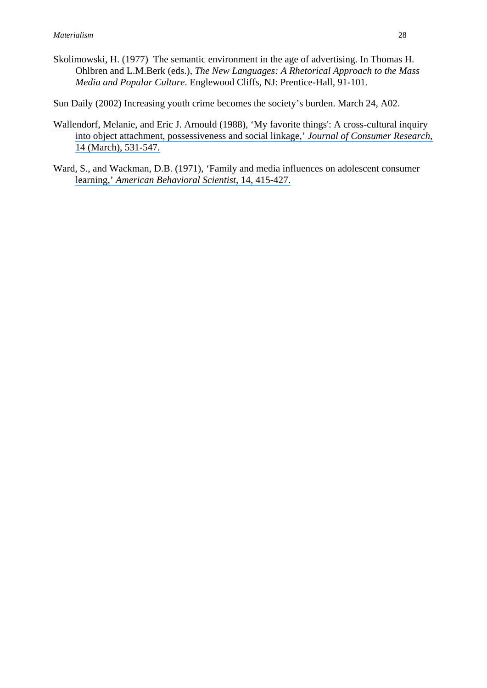Skolimowski, H. (1977) The semantic environment in the age of advertising. In Thomas H. Ohlbren and L.M.Berk (eds.), *The New Languages: A Rhetorical Approach to the Mass Media and Popular Culture*. Englewood Cliffs, NJ: Prentice-Hall, 91-101.

Sun Daily (2002) Increasing youth crime becomes the society's burden. March 24, A02.

- [Wallendorf, Melanie, and Eric J. Arnould \(1988\), 'My favorite things': A cross-cultural inquiry](https://www.researchgate.net/publication/247560620_My_Favorite_Things_A_Cross-Cultural_Inquiry_into_Object_Attachment_Possessiveness_and_Social_Linkage?el=1_x_8&enrichId=rgreq-709c401c6c7d860b50dd24505361bda9-XXX&enrichSource=Y292ZXJQYWdlOzIzNTMxNzg1MDtBUzo0NDIwMDU5NDQ4MzYwOTZAMTQ4MjM5MzgzNzE0Mw==) [into object attachment, possessiveness and social linkage,'](https://www.researchgate.net/publication/247560620_My_Favorite_Things_A_Cross-Cultural_Inquiry_into_Object_Attachment_Possessiveness_and_Social_Linkage?el=1_x_8&enrichId=rgreq-709c401c6c7d860b50dd24505361bda9-XXX&enrichSource=Y292ZXJQYWdlOzIzNTMxNzg1MDtBUzo0NDIwMDU5NDQ4MzYwOTZAMTQ4MjM5MzgzNzE0Mw==) *Journal of Consumer Research*, [14 \(March\), 531-547.](https://www.researchgate.net/publication/247560620_My_Favorite_Things_A_Cross-Cultural_Inquiry_into_Object_Attachment_Possessiveness_and_Social_Linkage?el=1_x_8&enrichId=rgreq-709c401c6c7d860b50dd24505361bda9-XXX&enrichSource=Y292ZXJQYWdlOzIzNTMxNzg1MDtBUzo0NDIwMDU5NDQ4MzYwOTZAMTQ4MjM5MzgzNzE0Mw==)
- [Ward, S., and Wackman, D.B. \(1971\), 'Family and media influences on adolescent consumer](https://www.researchgate.net/publication/232418663_Family_and_Media_Influences_On_Adolescent_Consumer_Learning?el=1_x_8&enrichId=rgreq-709c401c6c7d860b50dd24505361bda9-XXX&enrichSource=Y292ZXJQYWdlOzIzNTMxNzg1MDtBUzo0NDIwMDU5NDQ4MzYwOTZAMTQ4MjM5MzgzNzE0Mw==) learning,' *[American Behavioral Scientist](https://www.researchgate.net/publication/232418663_Family_and_Media_Influences_On_Adolescent_Consumer_Learning?el=1_x_8&enrichId=rgreq-709c401c6c7d860b50dd24505361bda9-XXX&enrichSource=Y292ZXJQYWdlOzIzNTMxNzg1MDtBUzo0NDIwMDU5NDQ4MzYwOTZAMTQ4MjM5MzgzNzE0Mw==)*, 14, 415-427.